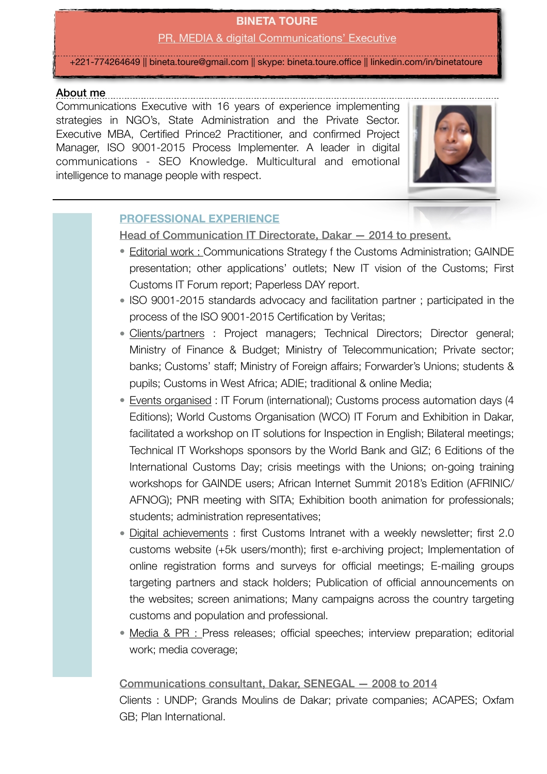# **BINETA TOURE**

PR, MEDIA & digital Communications' Executive

+221-774264649 || [bineta.toure@gmail.com](mailto:bineta.toure@gmail.com) || skype: bineta.toure.office || linkedin.com/in/binetatoure

#### About me

Communications Executive with 16 years of experience implementing strategies in NGO's, State Administration and the Private Sector. Executive MBA, Certified Prince2 Practitioner, and confirmed Project Manager, ISO 9001-2015 Process Implementer. A leader in digital communications - SEO Knowledge. Multicultural and emotional intelligence to manage people with respect.



#### **PROFESSIONAL EXPERIENCE**

Head of Communication IT Directorate, Dakar — 2014 to present.

- Editorial work : Communications Strategy f the Customs Administration; GAINDE presentation; other applications' outlets; New IT vision of the Customs; First Customs IT Forum report; Paperless DAY report.
- ISO 9001-2015 standards advocacy and facilitation partner ; participated in the process of the ISO 9001-2015 Certification by Veritas;
- Clients/partners : Project managers; Technical Directors; Director general; Ministry of Finance & Budget; Ministry of Telecommunication; Private sector; banks; Customs' staff; Ministry of Foreign affairs; Forwarder's Unions; students & pupils; Customs in West Africa; ADIE; traditional & online Media;
- Events organised : IT Forum (international); Customs process automation days (4 Editions); World Customs Organisation (WCO) IT Forum and Exhibition in Dakar, facilitated a workshop on IT solutions for Inspection in English; Bilateral meetings; Technical IT Workshops sponsors by the World Bank and GIZ; 6 Editions of the International Customs Day; crisis meetings with the Unions; on-going training workshops for GAINDE users; African Internet Summit 2018's Edition (AFRINIC/ AFNOG); PNR meeting with SITA; Exhibition booth animation for professionals; students; administration representatives;
- Digital achievements : first Customs Intranet with a weekly newsletter; first 2.0 customs website (+5k users/month); first e-archiving project; Implementation of online registration forms and surveys for official meetings; E-mailing groups targeting partners and stack holders; Publication of official announcements on the websites; screen animations; Many campaigns across the country targeting customs and population and professional.
- Media & PR : Press releases; official speeches; interview preparation; editorial work; media coverage;

Communications consultant, Dakar, SENEGAL — 2008 to 2014 Clients : UNDP; Grands Moulins de Dakar; private companies; ACAPES; Oxfam GB; Plan International.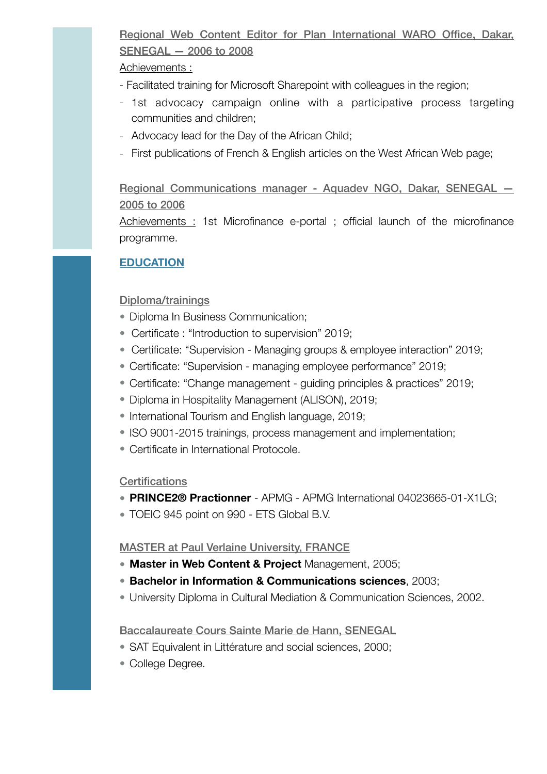## Regional Web Content Editor for Plan International WARO Office, Dakar, SENEGAL — 2006 to 2008

#### Achievements :

- Facilitated training for Microsoft Sharepoint with colleagues in the region;
- 1st advocacy campaign online with a participative process targeting communities and children;
- Advocacy lead for the Day of the African Child;
- First publications of French & English articles on the West African Web page;

Regional Communications manager - Aquadev NGO, Dakar, SENEGAL — 2005 to 2006

Achievements : 1st Microfinance e-portal ; official launch of the microfinance programme.

#### **EDUCATION**

#### Diploma/trainings

- Diploma In Business Communication:
- Certificate : "Introduction to supervision" 2019;
- Certificate: "Supervision Managing groups & employee interaction" 2019;
- Certificate: "Supervision managing employee performance" 2019;
- Certificate: "Change management guiding principles & practices" 2019;
- Diploma in Hospitality Management (ALISON), 2019;
- International Tourism and English language, 2019;
- ISO 9001-2015 trainings, process management and implementation;
- Certificate in International Protocole.

#### **Certifications**

- **PRINCE2® Practionner** APMG APMG International 04023665-01-X1LG;
- TOEIC 945 point on 990 ETS Global B.V.

#### MASTER at Paul Verlaine University, FRANCE

- **Master in Web Content & Project** Management, 2005;
- **Bachelor in Information & Communications sciences**, 2003;
- University Diploma in Cultural Mediation & Communication Sciences, 2002.

#### Baccalaureate Cours Sainte Marie de Hann, SENEGAL

- SAT Equivalent in Littérature and social sciences, 2000;
- College Degree.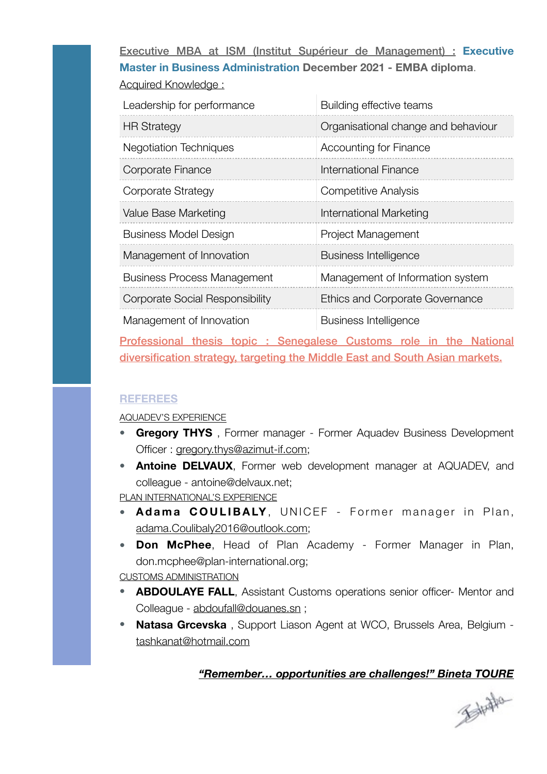Executive MBA at ISM (Institut Supérieur de Management) : **Executive Master in Business Administration December 2021 - EMBA diploma**. Acquired Knowledge :

| Leadership for performance             | Building effective teams            |
|----------------------------------------|-------------------------------------|
| <b>HR Strategy</b>                     | Organisational change and behaviour |
| <b>Negotiation Techniques</b>          | Accounting for Finance              |
| Corporate Finance                      | International Finance               |
| Corporate Strategy                     | <b>Competitive Analysis</b>         |
| Value Base Marketing                   | International Marketing             |
| <b>Business Model Design</b>           | Project Management                  |
| Management of Innovation               | <b>Business Intelligence</b>        |
| <b>Business Process Management</b>     | Management of Information system    |
| <b>Corporate Social Responsibility</b> | Ethics and Corporate Governance     |
| Management of Innovation               | <b>Business Intelligence</b>        |

Professional thesis topic : Senegalese Customs role in the National diversification strategy, targeting the Middle East and South Asian markets.

#### **REFEREES**

AQUADEV'S EXPERIENCE

- **Gregory THYS** , Former manager Former Aquadev Business Development Officer : [gregory.thys@azimut-if.com;](mailto:gregory.thys@azimut-if.com)
- **Antoine DELVAUX**, Former web development manager at AQUADEV, and colleague - antoine@delvaux.net;

PLAN INTERNATIONAL'S EXPERIENCE

- **Adama COULIBALY**, UNICEF Former manager in Plan, [adama.Coulibaly2016@outlook.com;](mailto:adama.Coulibaly2016@outlook.com)
- **Don McPhee**, Head of Plan Academy Former Manager in Plan, don.mcphee@plan-international.org;

CUSTOMS ADMINISTRATION

- **ABDOULAYE FALL**, Assistant Customs operations senior officer- Mentor and Colleague - [abdoufall@douanes.sn](mailto:abdoufall@douanes.sn) ;
- **Natasa Grcevska** , Support Liason Agent at WCO, Brussels Area, Belgium [tashkanat@hotmail.com](mailto:tashkanat@hotmail.com)

### *"Remember… opportunities are challenges!" Bineta TOURE*

金融社